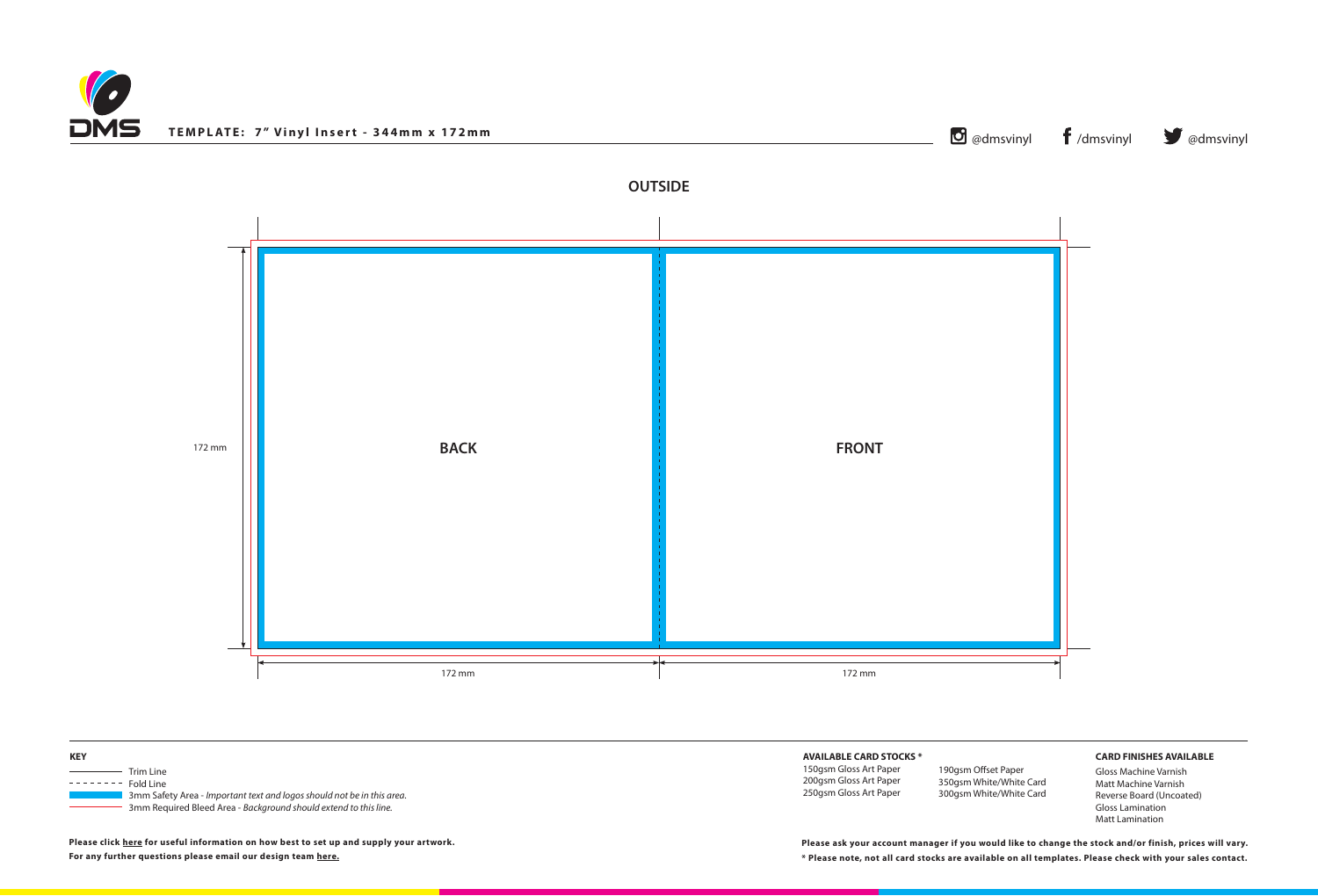## **AVAILABLE CARD STOCKS \***

150gsm Gloss Art Paper 200gsm Gloss Art Paper 250gsm Gloss Art Paper

## **CARD FINISHES AVAILABLE**

Gloss Machine Varnish Matt Machine Varnish Reverse Board (Uncoated) Gloss Lamination Matt Lamination

**\* Please note, not all card stocks are available on all templates. Please check with your sales contact. Please ask your account manager if you would like to change the stock and/or finish, prices will vary.**







**Please click [here](http://www.discmanufacturingservices.com/vinyl/templates#artwork-specifications) for useful information on how best to set up and supply your artwork. For any further questions please email our design team [here](mailto:graphics%40discmanufacturingservices.com?subject=Template%20Enquiry).**

190gsm Offset Paper 350gsm White/White Card 300gsm White/White Card